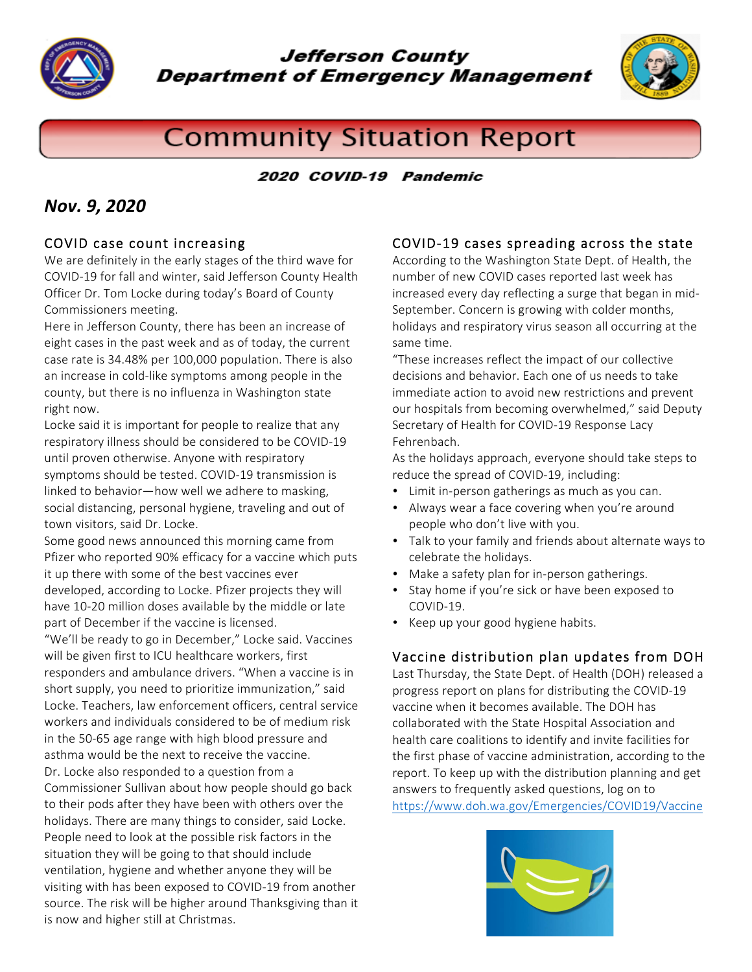

**Jefferson County Department of Emergency Management** 



# **Community Situation Report**

#### 2020 COVID-19 Pandemic

## *Nov. 9, 2020*

#### COVID case count increasing

We are definitely in the early stages of the third wave for COVID-19 for fall and winter, said Jefferson County Health Officer Dr. Tom Locke during today's Board of County Commissioners meeting.

Here in Jefferson County, there has been an increase of eight cases in the past week and as of today, the current case rate is 34.48% per 100,000 population. There is also an increase in cold-like symptoms among people in the county, but there is no influenza in Washington state right now.

Locke said it is important for people to realize that any respiratory illness should be considered to be COVID-19 until proven otherwise. Anyone with respiratory symptoms should be tested. COVID-19 transmission is linked to behavior—how well we adhere to masking, social distancing, personal hygiene, traveling and out of town visitors, said Dr. Locke.

Some good news announced this morning came from Pfizer who reported 90% efficacy for a vaccine which puts it up there with some of the best vaccines ever developed, according to Locke. Pfizer projects they will have 10-20 million doses available by the middle or late part of December if the vaccine is licensed.

"We'll be ready to go in December," Locke said. Vaccines will be given first to ICU healthcare workers, first responders and ambulance drivers. "When a vaccine is in short supply, you need to prioritize immunization," said Locke. Teachers, law enforcement officers, central service workers and individuals considered to be of medium risk in the 50-65 age range with high blood pressure and asthma would be the next to receive the vaccine. Dr. Locke also responded to a question from a Commissioner Sullivan about how people should go back to their pods after they have been with others over the holidays. There are many things to consider, said Locke. People need to look at the possible risk factors in the situation they will be going to that should include ventilation, hygiene and whether anyone they will be visiting with has been exposed to COVID-19 from another source. The risk will be higher around Thanksgiving than it is now and higher still at Christmas.

#### COVID-19 cases spreading across the state

According to the Washington State Dept. of Health, the number of new COVID cases reported last week has increased every day reflecting a surge that began in mid-September. Concern is growing with colder months, holidays and respiratory virus season all occurring at the same time.

"These increases reflect the impact of our collective decisions and behavior. Each one of us needs to take immediate action to avoid new restrictions and prevent our hospitals from becoming overwhelmed," said Deputy Secretary of Health for COVID-19 Response Lacy Fehrenbach.

As the holidays approach, everyone should take steps to reduce the spread of COVID-19, including:

- Limit in-person gatherings as much as you can.
- Always wear a face covering when you're around people who don't live with you.
- Talk to your family and friends about alternate ways to celebrate the holidays.
- Make a safety plan for in-person gatherings.
- Stay home if you're sick or have been exposed to COVID-19.
- Keep up your good hygiene habits.

#### Vaccine distribution plan updates from DOH

Last Thursday, the State Dept. of Health (DOH) released a progress report on plans for distributing the COVID-19 vaccine when it becomes available. The DOH has collaborated with the State Hospital Association and health care coalitions to identify and invite facilities for the first phase of vaccine administration, according to the report. To keep up with the distribution planning and get answers to frequently asked questions, log on to https://www.doh.wa.gov/Emergencies/COVID19/Vaccine